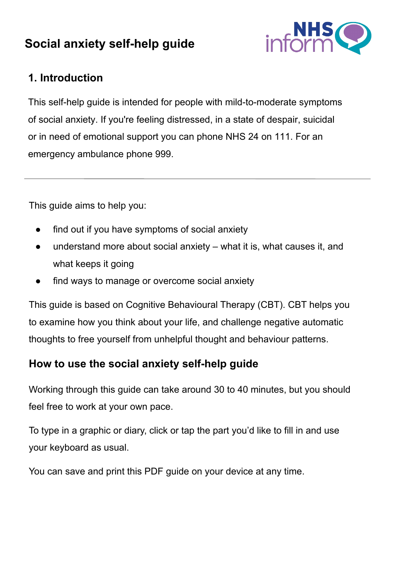# **Social anxiety self-help guide**



## **1. Introduction**

This self-help guide is intended for people with mild-to-moderate symptoms of social anxiety. If you're feeling distressed, in a state of despair, suicidal or in need of emotional support you can phone NHS 24 on 111. For an emergency ambulance phone 999.

This guide aims to help you:

- find out if you have symptoms of social anxiety
- understand more about social anxiety what it is, what causes it, and what keeps it going
- find ways to manage or overcome social anxiety

This guide is based on Cognitive Behavioural Therapy (CBT). CBT helps you to examine how you think about your life, and challenge negative automatic thoughts to free yourself from unhelpful thought and behaviour patterns.

## **How to use the social anxiety self-help guide**

Working through this guide can take around 30 to 40 minutes, but you should feel free to work at your own pace.

To type in a graphic or diary, click or tap the part you'd like to fill in and use your keyboard as usual.

You can save and print this PDF guide on your device at any time.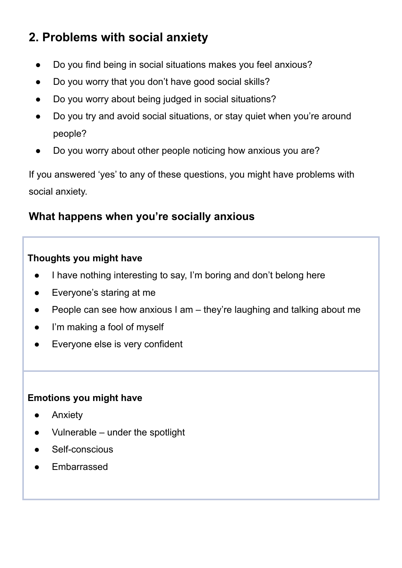# **2. Problems with social anxiety**

- Do you find being in social situations makes you feel anxious?
- Do you worry that you don't have good social skills?
- Do you worry about being judged in social situations?
- Do you try and avoid social situations, or stay quiet when you're around people?
- Do you worry about other people noticing how anxious you are?

If you answered 'yes' to any of these questions, you might have problems with social anxiety.

## **What happens when you're socially anxious**

### **Thoughts you might have**

- I have nothing interesting to say, I'm boring and don't belong here
- Everyone's staring at me
- People can see how anxious I am they're laughing and talking about me
- I'm making a fool of myself
- Everyone else is very confident

### **Emotions you might have**

- Anxiety
- Vulnerable under the spotlight
- Self-conscious
- **Embarrassed**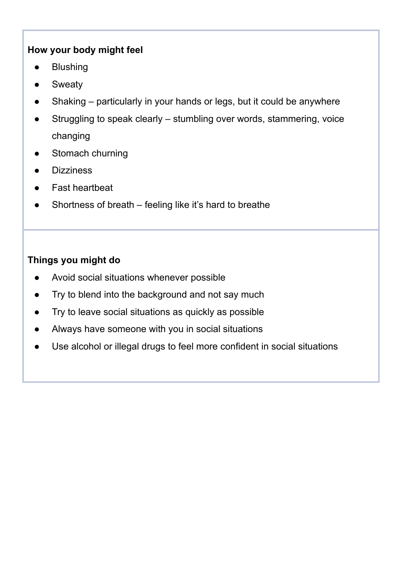### **How your body might feel**

- **Blushing**
- **Sweaty**
- Shaking particularly in your hands or legs, but it could be anywhere
- Struggling to speak clearly stumbling over words, stammering, voice changing
- Stomach churning
- **Dizziness**
- Fast heartbeat
- Shortness of breath feeling like it's hard to breathe

### **Things you might do**

- Avoid social situations whenever possible
- Try to blend into the background and not say much
- Try to leave social situations as quickly as possible
- Always have someone with you in social situations
- Use alcohol or illegal drugs to feel more confident in social situations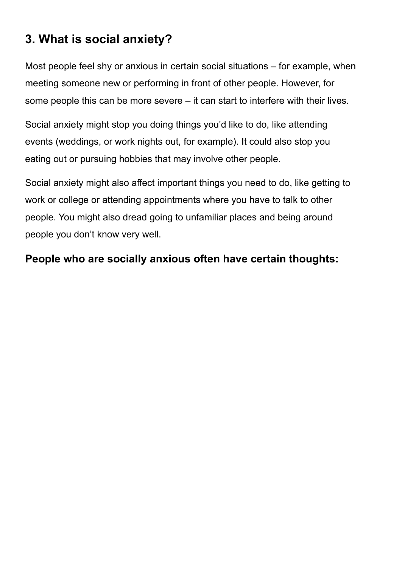# **3. What is social anxiety?**

Most people feel shy or anxious in certain social situations – for example, when meeting someone new or performing in front of other people. However, for some people this can be more severe – it can start to interfere with their lives.

Social anxiety might stop you doing things you'd like to do, like attending events (weddings, or work nights out, for example). It could also stop you eating out or pursuing hobbies that may involve other people.

Social anxiety might also affect important things you need to do, like getting to work or college or attending appointments where you have to talk to other people. You might also dread going to unfamiliar places and being around people you don't know very well.

## **People who are socially anxious often have certain thoughts:**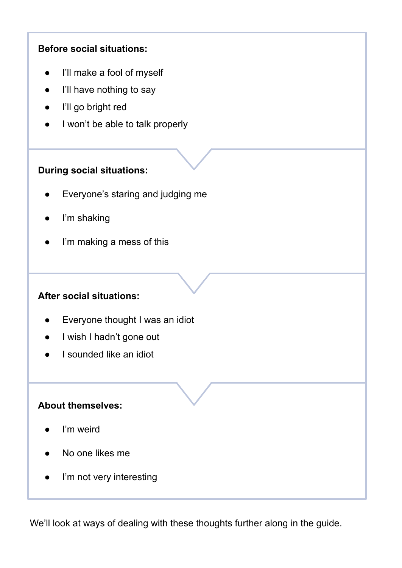### **Before social situations:**

- I'll make a fool of myself
- I'll have nothing to say
- I'll go bright red
- I won't be able to talk properly

### **During social situations:**

- Everyone's staring and judging me
- I'm shaking
- I'm making a mess of this

### **After social situations:**

- Everyone thought I was an idiot
- I wish I hadn't gone out
- I sounded like an idiot

### **About themselves:**

- I'm weird
- No one likes me
- I'm not very interesting

We'll look at ways of dealing with these thoughts further along in the guide.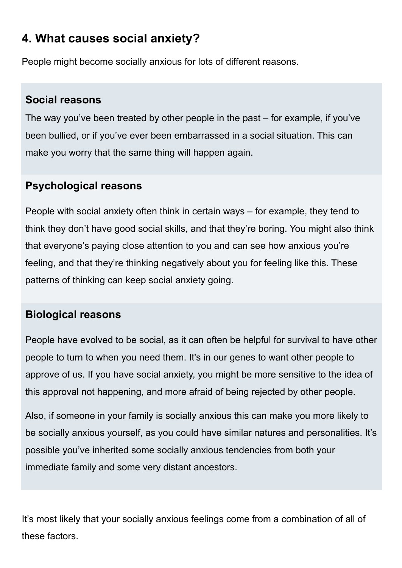# **4. What causes social anxiety?**

People might become socially anxious for lots of different reasons.

## **Social reasons**

The way you've been treated by other people in the past – for example, if you've been bullied, or if you've ever been embarrassed in a social situation. This can make you worry that the same thing will happen again.

## **Psychological reasons**

People with social anxiety often think in certain ways – for example, they tend to think they don't have good social skills, and that they're boring. You might also think that everyone's paying close attention to you and can see how anxious you're feeling, and that they're thinking negatively about you for feeling like this. These patterns of thinking can keep social anxiety going.

## **Biological reasons**

People have evolved to be social, as it can often be helpful for survival to have other people to turn to when you need them. It's in our genes to want other people to approve of us. If you have social anxiety, you might be more sensitive to the idea of this approval not happening, and more afraid of being rejected by other people.

Also, if someone in your family is socially anxious this can make you more likely to be socially anxious yourself, as you could have similar natures and personalities. It's possible you've inherited some socially anxious tendencies from both your immediate family and some very distant ancestors.

It's most likely that your socially anxious feelings come from a combination of all of these factors.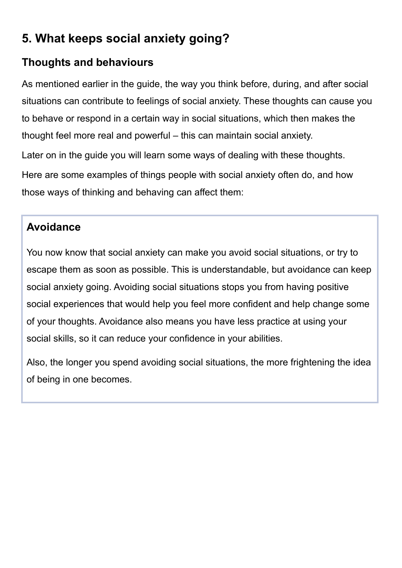# **5. What keeps social anxiety going?**

## **Thoughts and behaviours**

As mentioned earlier in the guide, the way you think before, during, and after social situations can contribute to feelings of social anxiety. These thoughts can cause you to behave or respond in a certain way in social situations, which then makes the thought feel more real and powerful – this can maintain social anxiety. Later on in the guide you will learn some ways of dealing with these thoughts. Here are some examples of things people with social anxiety often do, and how those ways of thinking and behaving can affect them:

## **Avoidance**

You now know that social anxiety can make you avoid social situations, or try to escape them as soon as possible. This is understandable, but avoidance can keep social anxiety going. Avoiding social situations stops you from having positive social experiences that would help you feel more confident and help change some of your thoughts. Avoidance also means you have less practice at using your social skills, so it can reduce your confidence in your abilities.

Also, the longer you spend avoiding social situations, the more frightening the idea of being in one becomes.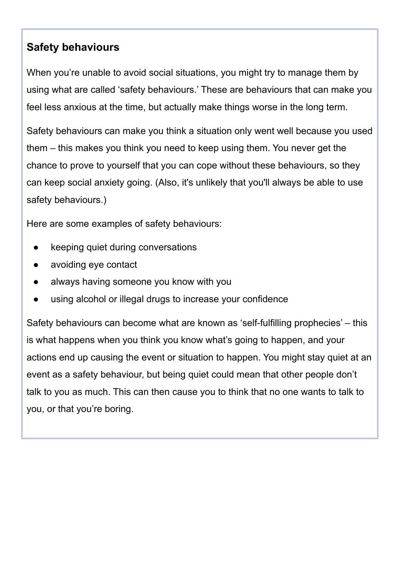## **Safety behaviours**

When you're unable to avoid social situations, you might try to manage them by using what are called 'safety behaviours.' These are behaviours that can make you feel less anxious at the time, but actually make things worse in the long term.

Safety behaviours can make you think a situation only went well because you used them – this makes you think you need to keep using them. You never get the chance to prove to yourself that you can cope without these behaviours, so they can keep social anxiety going. (Also, it's unlikely that you'll always be able to use safety behaviours.)

Here are some examples of safety behaviours:

- keeping quiet during conversations
- avoiding eye contact
- always having someone you know with you
- using alcohol or illegal drugs to increase your confidence

Safety behaviours can become what are known as 'self-fulfilling prophecies' – this is what happens when you think you know what's going to happen, and your actions end up causing the event or situation to happen. You might stay quiet at an event as a safety behaviour, but being quiet could mean that other people don't talk to you as much. This can then cause you to think that no one wants to talk to you, or that you're boring.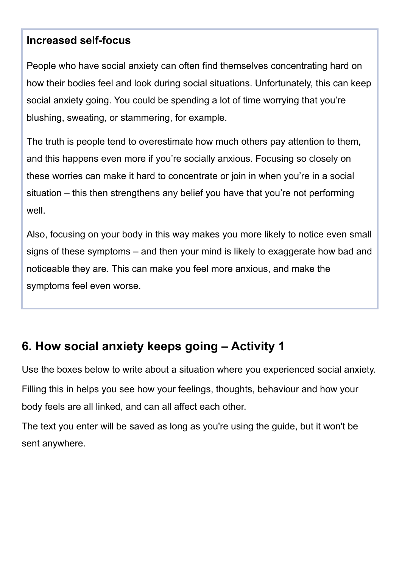## **Increased self-focus**

People who have social anxiety can often find themselves concentrating hard on how their bodies feel and look during social situations. Unfortunately, this can keep social anxiety going. You could be spending a lot of time worrying that you're blushing, sweating, or stammering, for example.

The truth is people tend to overestimate how much others pay attention to them, and this happens even more if you're socially anxious. Focusing so closely on these worries can make it hard to concentrate or join in when you're in a social situation – this then strengthens any belief you have that you're not performing well.

Also, focusing on your body in this way makes you more likely to notice even small signs of these symptoms – and then your mind is likely to exaggerate how bad and noticeable they are. This can make you feel more anxious, and make the symptoms feel even worse.

# **6. How social anxiety keeps going – Activity 1**

Use the boxes below to write about a situation where you experienced social anxiety. Filling this in helps you see how your feelings, thoughts, behaviour and how your body feels are all linked, and can all affect each other.

The text you enter will be saved as long as you're using the guide, but it won't be sent anywhere.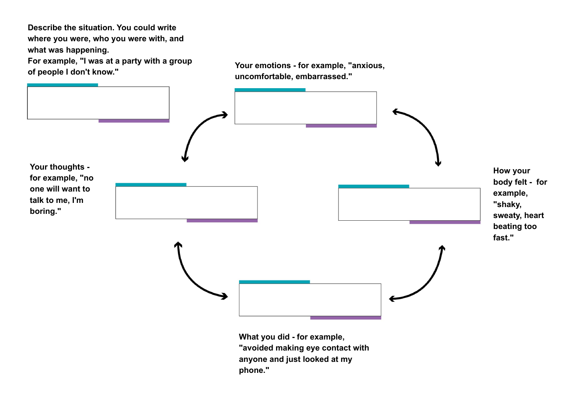**Describe the situation. You could write where you were, who you were with, and what was happening.** 

**For example, "I was at a party with a group** 





**"avoided making eye contact with anyone and just looked at my phone."**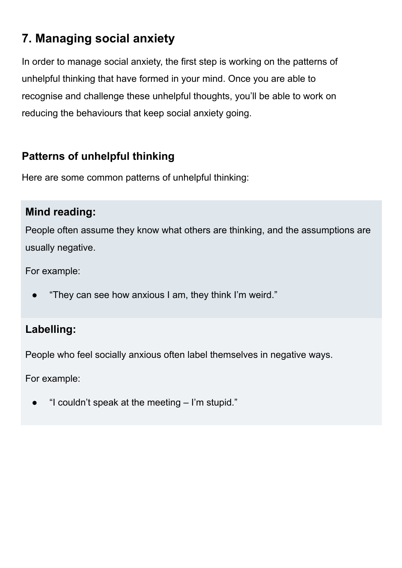# **7. Managing social anxiety**

In order to manage social anxiety, the first step is working on the patterns of unhelpful thinking that have formed in your mind. Once you are able to recognise and challenge these unhelpful thoughts, you'll be able to work on reducing the behaviours that keep social anxiety going.

## **Patterns of unhelpful thinking**

Here are some common patterns of unhelpful thinking:

## **Mind reading:**

People often assume they know what others are thinking, and the assumptions are usually negative.

For example:

"They can see how anxious I am, they think I'm weird."

## **Labelling:**

People who feel socially anxious often label themselves in negative ways.

For example:

"I couldn't speak at the meeting  $-$  I'm stupid."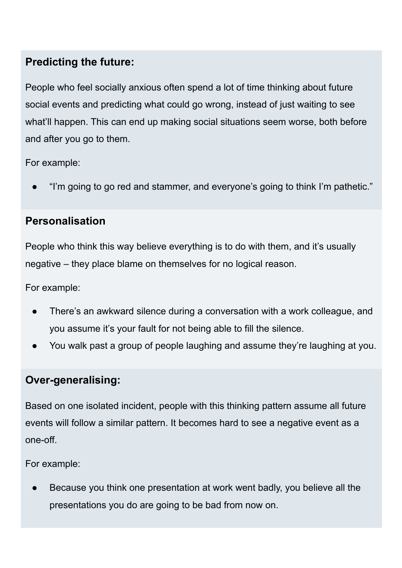## **Predicting the future:**

People who feel socially anxious often spend a lot of time thinking about future social events and predicting what could go wrong, instead of just waiting to see what'll happen. This can end up making social situations seem worse, both before and after you go to them.

For example:

"I'm going to go red and stammer, and everyone's going to think I'm pathetic."

## **Personalisation**

People who think this way believe everything is to do with them, and it's usually negative – they place blame on themselves for no logical reason.

For example:

- There's an awkward silence during a conversation with a work colleague, and you assume it's your fault for not being able to fill the silence.
- You walk past a group of people laughing and assume they're laughing at you.

## **Over-generalising:**

Based on one isolated incident, people with this thinking pattern assume all future events will follow a similar pattern. It becomes hard to see a negative event as a one-off.

For example:

Because you think one presentation at work went badly, you believe all the presentations you do are going to be bad from now on.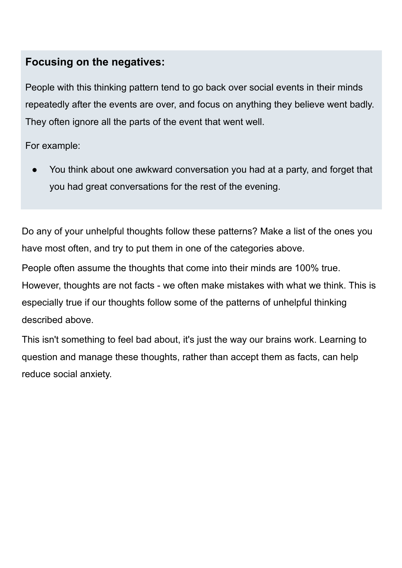## **Focusing on the negatives:**

People with this thinking pattern tend to go back over social events in their minds repeatedly after the events are over, and focus on anything they believe went badly. They often ignore all the parts of the event that went well.

For example:

You think about one awkward conversation you had at a party, and forget that you had great conversations for the rest of the evening.

Do any of your unhelpful thoughts follow these patterns? Make a list of the ones you have most often, and try to put them in one of the categories above.

People often assume the thoughts that come into their minds are 100% true. However, thoughts are not facts - we often make mistakes with what we think. This is especially true if our thoughts follow some of the patterns of unhelpful thinking described above.

This isn't something to feel bad about, it's just the way our brains work. Learning to question and manage these thoughts, rather than accept them as facts, can help reduce social anxiety.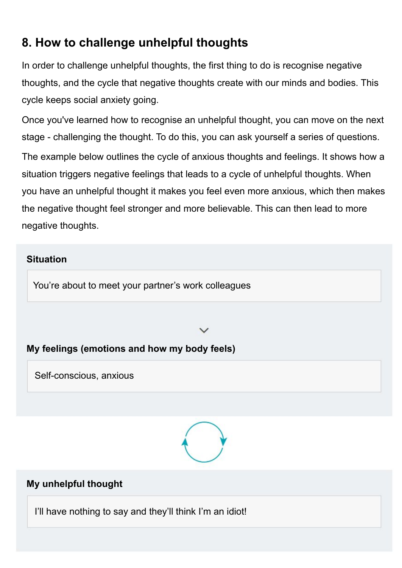# **8. How to challenge unhelpful thoughts**

In order to challenge unhelpful thoughts, the first thing to do is recognise negative thoughts, and the cycle that negative thoughts create with our minds and bodies. This cycle keeps social anxiety going.

Once you've learned how to recognise an unhelpful thought, you can move on the next stage - challenging the thought. To do this, you can ask yourself a series of questions. The example below outlines the cycle of anxious thoughts and feelings. It shows how a situation triggers negative feelings that leads to a cycle of unhelpful thoughts. When you have an unhelpful thought it makes you feel even more anxious, which then makes the negative thought feel stronger and more believable. This can then lead to more negative thoughts.

# In the next section, you can fill out an example of this cycle from your own life. **Situation**

You're about to meet your partner's work colleagues

### **My feelings (emotions and how my body feels)**

Self-conscious, anxious



### **My unhelpful thought**

I'll have nothing to say and they'll think I'm an idiot!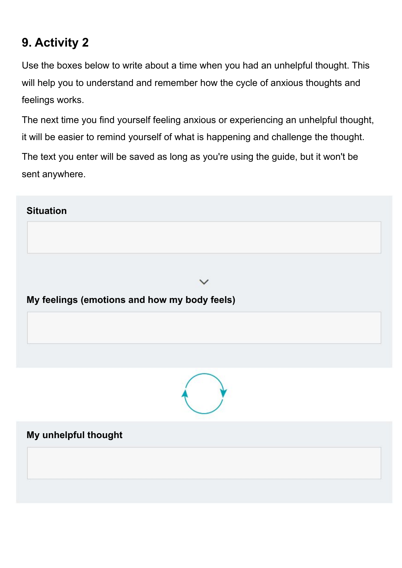# **9. Activity 2**

Use the boxes below to write about a time when you had an unhelpful thought. This will help you to understand and remember how the cycle of anxious thoughts and feelings works.

The next time you find yourself feeling anxious or experiencing an unhelpful thought, it will be easier to remind yourself of what is happening and challenge the thought. The text you enter will be saved as long as you're using the guide, but it won't be sent anywhere.

### **Situation**

**My feelings (emotions and how my body feels)**



**My unhelpful thought**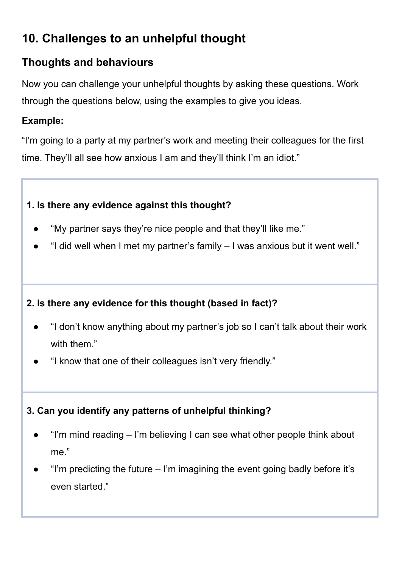# **10. Challenges to an unhelpful thought**

## **Thoughts and behaviours**

Now you can challenge your unhelpful thoughts by asking these questions. Work through the questions below, using the examples to give you ideas.

### **Example:**

"I'm going to a party at my partner's work and meeting their colleagues for the first time. They'll all see how anxious I am and they'll think I'm an idiot."

### **1. Is there any evidence against this thought?**

- "My partner says they're nice people and that they'll like me."
- "I did well when I met my partner's family  $-1$  was anxious but it went well."

## **2. Is there any evidence for this thought (based in fact)?**

- "I don't know anything about my partner's job so I can't talk about their work with them."
- "I know that one of their colleagues isn't very friendly."

## **3. Can you identify any patterns of unhelpful thinking?**

- "I'm mind reading I'm believing I can see what other people think about me."
- "I'm predicting the future  $-$  I'm imagining the event going badly before it's even started."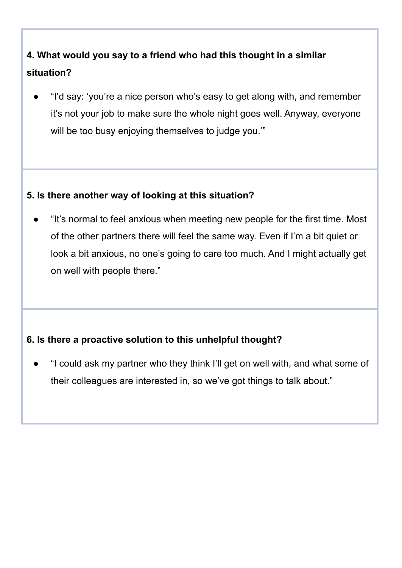# **4. What would you say to a friend who had this thought in a similar situation?**

"I'd say: 'you're a nice person who's easy to get along with, and remember it's not your job to make sure the whole night goes well. Anyway, everyone will be too busy enjoying themselves to judge you."

### **5. Is there another way of looking at this situation?**

● "It's normal to feel anxious when meeting new people for the first time. Most of the other partners there will feel the same way. Even if I'm a bit quiet or look a bit anxious, no one's going to care too much. And I might actually get on well with people there."

### **6. Is there a proactive solution to this unhelpful thought?**

● "I could ask my partner who they think I'll get on well with, and what some of their colleagues are interested in, so we've got things to talk about."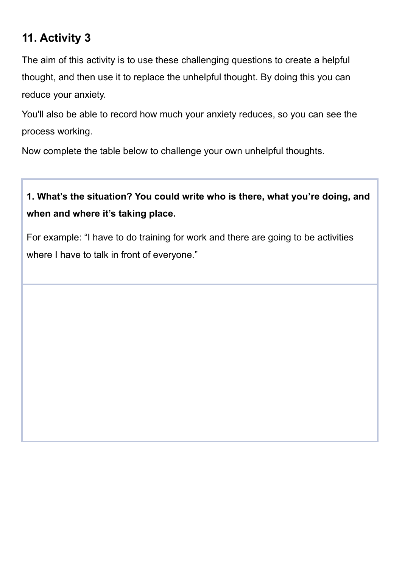## **11. Activity 3**

The aim of this activity is to use these challenging questions to create a helpful thought, and then use it to replace the unhelpful thought. By doing this you can reduce your anxiety.

You'll also be able to record how much your anxiety reduces, so you can see the process working.

Now complete the table below to challenge your own unhelpful thoughts.

# **1. What's the situation? You could write who is there, what you're doing, and when and where it's taking place.**

For example: "I have to do training for work and there are going to be activities where I have to talk in front of everyone."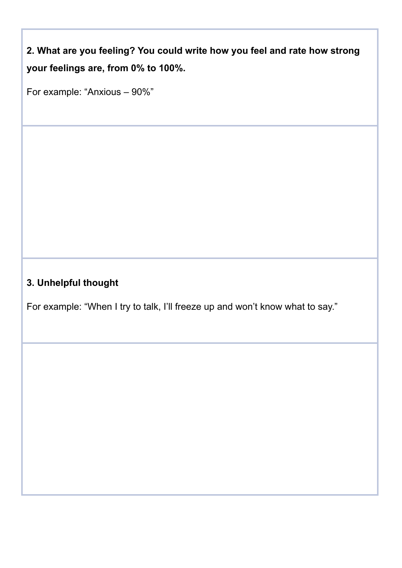**2. What are you feeling? You could write how you feel and rate how strong your feelings are, from 0% to 100%.**

For example: "Anxious – 90%"

## **3. Unhelpful thought**

For example: "When I try to talk, I'll freeze up and won't know what to say."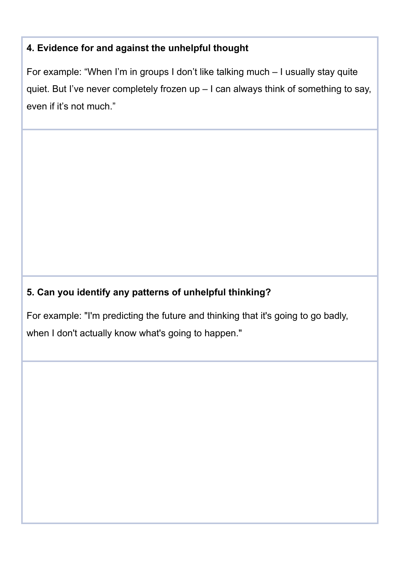### **4. Evidence for and against the unhelpful thought**

For example: "When I'm in groups I don't like talking much – I usually stay quite quiet. But I've never completely frozen up – I can always think of something to say, even if it's not much."

## **5. Can you identify any patterns of unhelpful thinking?**

For example: "I'm predicting the future and thinking that it's going to go badly, when I don't actually know what's going to happen."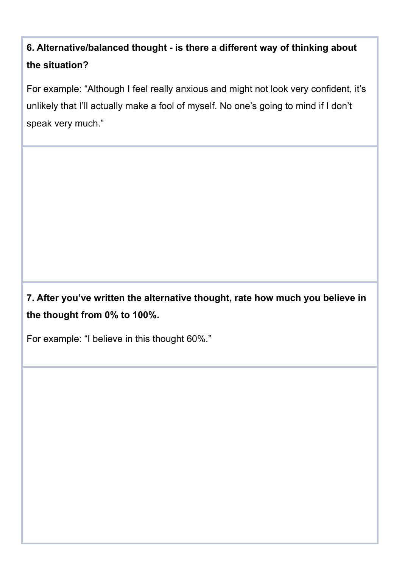# **6. Alternative/balanced thought - is there a different way of thinking about the situation?**

For example: "Although I feel really anxious and might not look very confident, it's unlikely that I'll actually make a fool of myself. No one's going to mind if I don't speak very much."

**7. After you've written the alternative thought, rate how much you believe in the thought from 0% to 100%.**

For example: "I believe in this thought 60%."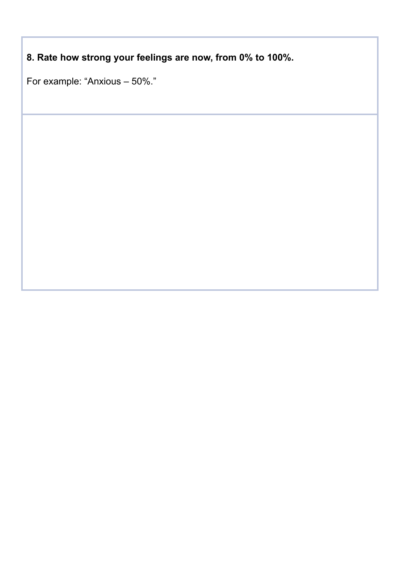**8. Rate how strong your feelings are now, from 0% to 100%.**

For example: "Anxious – 50%."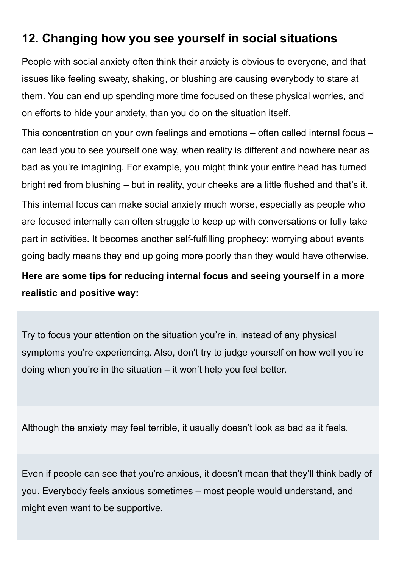# **12. Changing how you see yourself in social situations**

People with social anxiety often think their anxiety is obvious to everyone, and that issues like feeling sweaty, shaking, or blushing are causing everybody to stare at them. You can end up spending more time focused on these physical worries, and on efforts to hide your anxiety, than you do on the situation itself.

This concentration on your own feelings and emotions – often called internal focus – can lead you to see yourself one way, when reality is different and nowhere near as bad as you're imagining. For example, you might think your entire head has turned bright red from blushing – but in reality, your cheeks are a little flushed and that's it. This internal focus can make social anxiety much worse, especially as people who are focused internally can often struggle to keep up with conversations or fully take part in activities. It becomes another self-fulfilling prophecy: worrying about events

going badly means they end up going more poorly than they would have otherwise.

**Here are some tips for reducing internal focus and seeing yourself in a more realistic and positive way:**

Try to focus your attention on the situation you're in, instead of any physical symptoms you're experiencing. Also, don't try to judge yourself on how well you're doing when you're in the situation – it won't help you feel better.

Although the anxiety may feel terrible, it usually doesn't look as bad as it feels.

Even if people can see that you're anxious, it doesn't mean that they'll think badly of you. Everybody feels anxious sometimes – most people would understand, and might even want to be supportive.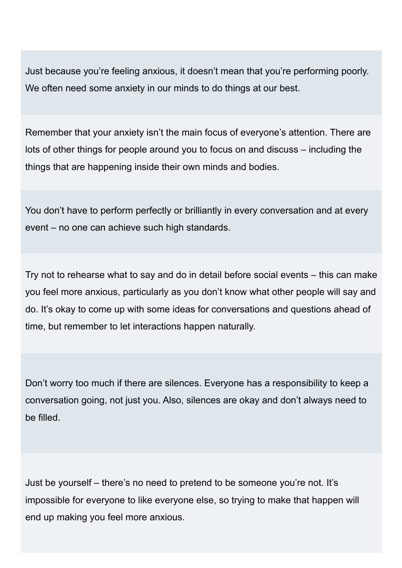Just because you're feeling anxious, it doesn't mean that you're performing poorly. We often need some anxiety in our minds to do things at our best.

Remember that your anxiety isn't the main focus of everyone's attention. There are lots of other things for people around you to focus on and discuss – including the things that are happening inside their own minds and bodies.

You don't have to perform perfectly or brilliantly in every conversation and at every event – no one can achieve such high standards.

Try not to rehearse what to say and do in detail before social events – this can make you feel more anxious, particularly as you don't know what other people will say and do. It's okay to come up with some ideas for conversations and questions ahead of time, but remember to let interactions happen naturally.

Don't worry too much if there are silences. Everyone has a responsibility to keep a conversation going, not just you. Also, silences are okay and don't always need to be filled.

Just be yourself – there's no need to pretend to be someone you're not. It's impossible for everyone to like everyone else, so trying to make that happen will end up making you feel more anxious.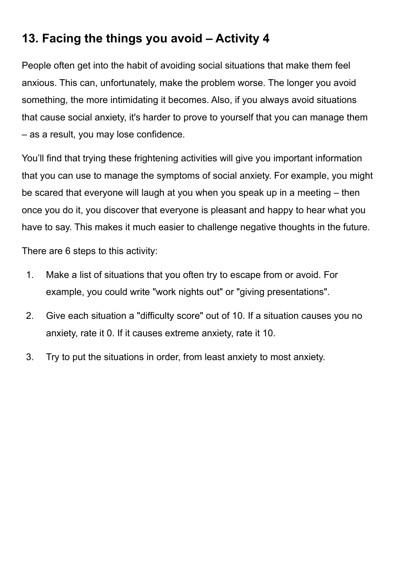# **13. Facing the things you avoid – Activity 4**

People often get into the habit of avoiding social situations that make them feel anxious. This can, unfortunately, make the problem worse. The longer you avoid something, the more intimidating it becomes. Also, if you always avoid situations that cause social anxiety, it's harder to prove to yourself that you can manage them – as a result, you may lose confidence.

You'll find that trying these frightening activities will give you important information that you can use to manage the symptoms of social anxiety. For example, you might be scared that everyone will laugh at you when you speak up in a meeting – then once you do it, you discover that everyone is pleasant and happy to hear what you have to say. This makes it much easier to challenge negative thoughts in the future.

There are 6 steps to this activity:

- 1. Make a list of situations that you often try to escape from or avoid. For example, you could write "work nights out" or "giving presentations".
- 2. Give each situation a "difficulty score" out of 10. If a situation causes you no anxiety, rate it 0. If it causes extreme anxiety, rate it 10.
- 3. Try to put the situations in order, from least anxiety to most anxiety.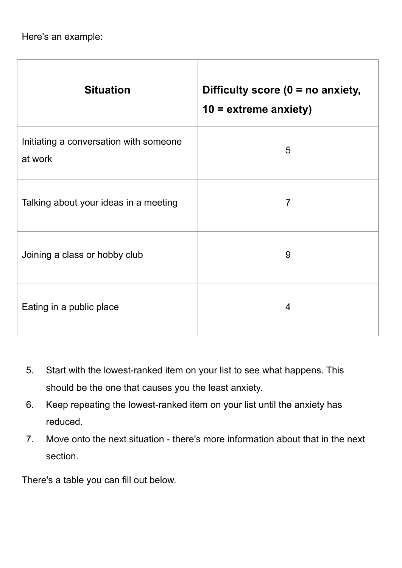Here's an example:

| <b>Situation</b>                                  | Difficulty score ( $0 = no$ anxiety,<br>$10 =$ extreme anxiety) |
|---------------------------------------------------|-----------------------------------------------------------------|
| Initiating a conversation with someone<br>at work | 5                                                               |
| Talking about your ideas in a meeting             | $\overline{7}$                                                  |
| Joining a class or hobby club                     | 9                                                               |
| Eating in a public place                          | $\overline{4}$                                                  |

- 5. Start with the lowest-ranked item on your list to see what happens. This should be the one that causes you the least anxiety.
- 6. Keep repeating the lowest-ranked item on your list until the anxiety has reduced.
- 7. Move onto the next situation there's more information about that in the next section.

There's a table you can fill out below.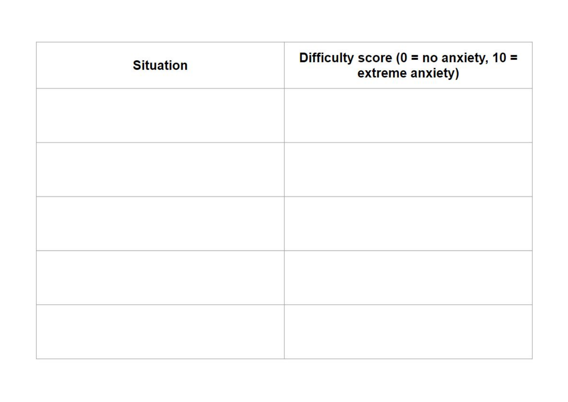| <b>Situation</b> | Difficulty score ( $0 = no$ anxiety, $10 =$<br>extreme anxiety) |
|------------------|-----------------------------------------------------------------|
|                  |                                                                 |
|                  |                                                                 |
|                  |                                                                 |
|                  |                                                                 |
|                  |                                                                 |
|                  |                                                                 |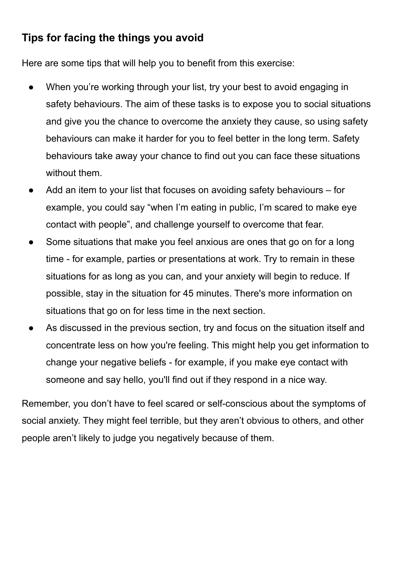## **Tips for facing the things you avoid**

Here are some tips that will help you to benefit from this exercise:

- When you're working through your list, try your best to avoid engaging in safety behaviours. The aim of these tasks is to expose you to social situations and give you the chance to overcome the anxiety they cause, so using safety behaviours can make it harder for you to feel better in the long term. Safety behaviours take away your chance to find out you can face these situations without them.
- Add an item to your list that focuses on avoiding safety behaviours for example, you could say "when I'm eating in public, I'm scared to make eye contact with people", and challenge yourself to overcome that fear.
- Some situations that make you feel anxious are ones that go on for a long time - for example, parties or presentations at work. Try to remain in these situations for as long as you can, and your anxiety will begin to reduce. If possible, stay in the situation for 45 minutes. There's more information on situations that go on for less time in the next section.
- As discussed in the previous section, try and focus on the situation itself and concentrate less on how you're feeling. This might help you get information to change your negative beliefs - for example, if you make eye contact with someone and say hello, you'll find out if they respond in a nice way.

Remember, you don't have to feel scared or self-conscious about the symptoms of social anxiety. They might feel terrible, but they aren't obvious to others, and other people aren't likely to judge you negatively because of them.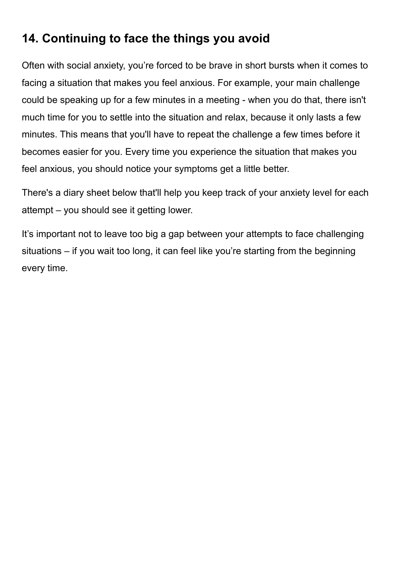# **14. Continuing to face the things you avoid**

Often with social anxiety, you're forced to be brave in short bursts when it comes to facing a situation that makes you feel anxious. For example, your main challenge could be speaking up for a few minutes in a meeting - when you do that, there isn't much time for you to settle into the situation and relax, because it only lasts a few minutes. This means that you'll have to repeat the challenge a few times before it becomes easier for you. Every time you experience the situation that makes you feel anxious, you should notice your symptoms get a little better.

There's a diary sheet below that'll help you keep track of your anxiety level for each attempt – you should see it getting lower.

It's important not to leave too big a gap between your attempts to face challenging situations – if you wait too long, it can feel like you're starting from the beginning every time.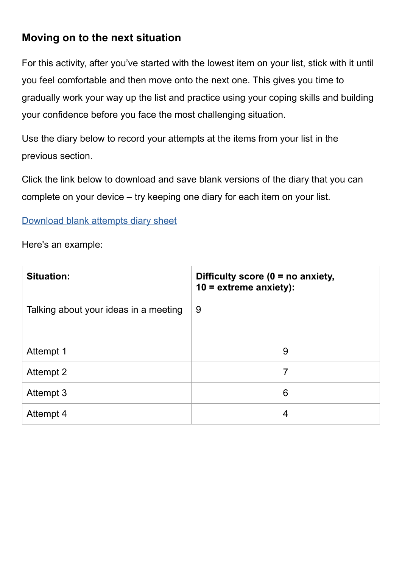## **Moving on to the next situation**

For this activity, after you've started with the lowest item on your list, stick with it until you feel comfortable and then move onto the next one. This gives you time to gradually work your way up the list and practice using your coping skills and building your confidence before you face the most challenging situation.

Use the diary below to record your attempts at the items from your list in the previous section.

Click the link below to download and save blank versions of the diary that you can complete on your device – try keeping one diary for each item on your list.

### [Download blank attempts diary sheet](https://www.nhsinform.scot/media/2922/social_anxiety_guide_continuing_to_face_the_things_you_avoid_attempts_diary_editable.pdf)

Here's an example:

| <b>Situation:</b>                     | Difficulty score ( $0 = no$ anxiety,<br>$10 =$ extreme anxiety): |
|---------------------------------------|------------------------------------------------------------------|
| Talking about your ideas in a meeting | 9                                                                |
| Attempt 1                             | 9                                                                |
| Attempt 2                             | 7                                                                |
| Attempt 3                             | 6                                                                |
| Attempt 4                             | 4                                                                |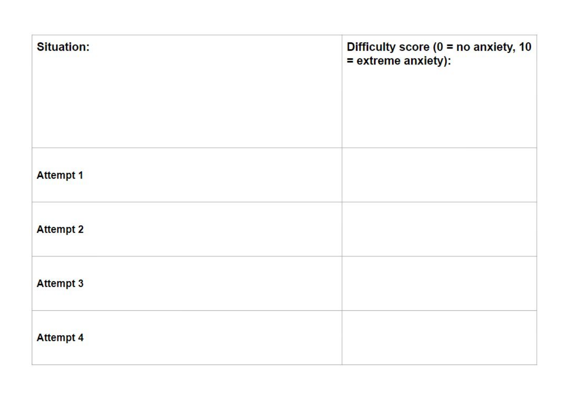| <b>Situation:</b> | Difficulty score ( $0 = no$ anxiety, 10<br>= extreme anxiety): |
|-------------------|----------------------------------------------------------------|
| <b>Attempt 1</b>  |                                                                |
| <b>Attempt 2</b>  |                                                                |
| <b>Attempt 3</b>  |                                                                |
| <b>Attempt 4</b>  |                                                                |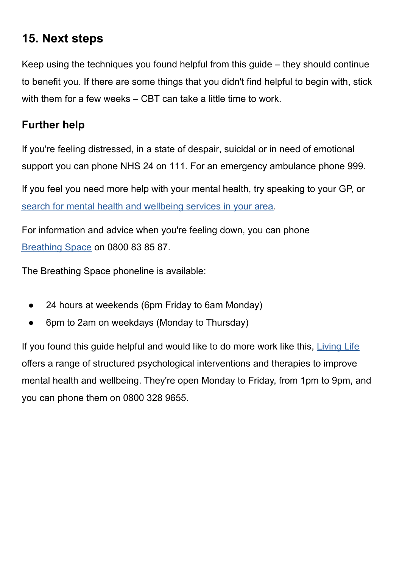# **15. Next steps**

Keep using the techniques you found helpful from this guide – they should continue to benefit you. If there are some things that you didn't find helpful to begin with, stick with them for a few weeks – CBT can take a little time to work.

## **Further help**

If you're feeling distressed, in a state of despair, suicidal or in need of emotional support you can phone NHS 24 on 111. For an emergency ambulance phone 999.

If you feel you need more help with your mental health, try speaking to your GP, or [search for mental health and wellbeing services in your area](https://www.nhsinform.scot/scotlands-service-directory/health-and-wellbeing-services?sortdir=Asc&svctype=15).

For information and advice when you're feeling down, you can phone [Breathing Space](https://breathingspace.scot/) on 0800 83 85 87.

The Breathing Space phoneline is available:

- 24 hours at weekends (6pm Friday to 6am Monday)
- 6pm to 2am on weekdays (Monday to Thursday)

If you found this guide helpful and would like to do more work like this, [Living Life](https://breathingspace.scot/living-life/) offers a range of structured psychological interventions and therapies to improve mental health and wellbeing. They're open Monday to Friday, from 1pm to 9pm, and you can phone them on 0800 328 9655.